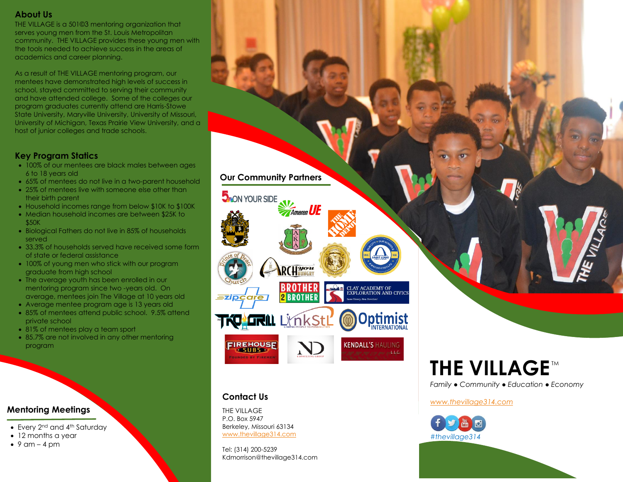# **About Us**

THE VILLAGE is a 501©3 mentoring organization that serves young men from the St. Louis Metropolitan community. THE VILLAGE provides these young men with the tools needed to achieve success in the areas of academics and career planning.

As a result of THE VILLAGE mentoring program, our mentees have demonstrated high levels of success in school, stayed committed to serving their community and have attended college. Some of the colleges our program graduates currently attend are Harris-Stowe State University, Maryville University, University of Missouri, University of Michigan, Texas Prairie View University, and a host of junior colleges and trade schools.

# **Key Program Statics**

- 100% of our mentees are black males between ages 6 to 18 years old
- 65% of mentees do not live in a two-parent household
- 25% of mentees live with someone else other than their birth parent
- Household incomes range from below \$10K to \$100K
- Median household incomes are between \$25K to \$50K
- Biological Fathers do not live in 85% of households served
- 33.3% of households served have received some form of state or federal assistance
- 100% of young men who stick with our program graduate from high school
- The average youth has been enrolled in our mentoring program since two -years old. On average, mentees join The Village at 10 years old
- Average mentee program age is 13 years old
- 85% of mentees attend public school. 9.5% attend private school
- 81% of mentees play a team sport
- 85.7% are not involved in any other mentoring program

# **Mentoring Meetings**

- Every 2<sup>nd</sup> and 4<sup>th</sup> Saturday
- 12 months a year
- $\bullet$  9 am 4 pm

# **Our Community Partners**

**Ameren** 

RCH WORK

**2 BROTHER** 

**CLAY ACADEMY OF<br>EXPLORATION AND CIVICS** 

Optimist

**KENDALL'S HAULING** and come many modelesCe

**D**<sub>NON</sub> YOUR SIDE

**TKQ! LTRILL LIMER StLL** 

#### THE VILLAGE P.O. Box 5947 Berkeley, Missouri 63134 [www.thevillage314.com](http://www.thevillage314.com/)

**Contact Us**

FIREHOUSE

UNDER BY FIREME

*Ezipcare* 

Tel: (314) 200-5239 Kdmorrison@thevillage314.com

# **THE VILLAGE™**

*Family ● Community ● Education ● Economy*

#### *[www.thevillage314.com](http://www.thevillage314.com/)*